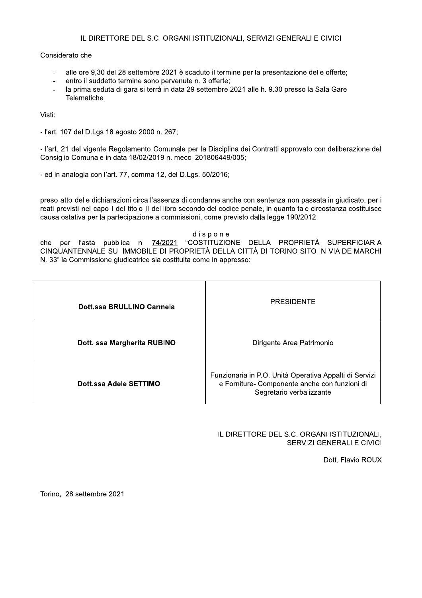#### Considerato che

- alle ore 9,30 del 28 settembre 2021 è scaduto il termine per la presentazione delle offerte;  $\overline{a}$
- entro il suddetto termine sono pervenute n. 3 offerte;
- la prima seduta di gara si terrà in data 29 settembre 2021 alle h. 9.30 presso la Sala Gare  $\overline{a}$ Telematiche

Visti:

- l'art. 107 del D.Lgs 18 agosto 2000 n. 267;

- l'art. 21 del vigente Regolamento Comunale per la Disciplina dei Contratti approvato con deliberazione del Consiglio Comunale in data 18/02/2019 n. mecc. 201806449/005;

- ed in analogia con l'art. 77, comma 12, del D.Lgs. 50/2016;

preso atto delle dichiarazioni circa l'assenza di condanne anche con sentenza non passata in giudicato, per i reati previsti nel capo I del titolo II del libro secondo del codice penale, in quanto tale circostanza costituisce causa ostativa per la partecipazione a commissioni, come previsto dalla legge 190/2012

dispone

che per l'asta pubblica n. 74/2021 "COSTITUZIONE DELLA PROPRIETÀ SUPERFICIARIA CINQUANTENNALE SU IMMOBILE DI PROPRIETÀ DELLA CITTÀ DI TORINO SITO IN VIA DE MARCHI N. 33" la Commissione giudicatrice sia costituita come in appresso:

| Dott.ssa BRULLINO Carmela   | <b>PRESIDENTE</b>                                                                                                                   |
|-----------------------------|-------------------------------------------------------------------------------------------------------------------------------------|
| Dott. ssa Margherita RUBINO | Dirigente Area Patrimonio                                                                                                           |
| Dott.ssa Adele SETTIMO      | Funzionaria in P.O. Unità Operativa Appalti di Servizi<br>e Forniture- Componente anche con funzioni di<br>Segretario verbalizzante |

#### IL DIRETTORE DEL S.C. ORGANI ISTITUZIONALI, SERVIZI GENERALI E CIVICI

Dott. Flavio ROUX

Torino, 28 settembre 2021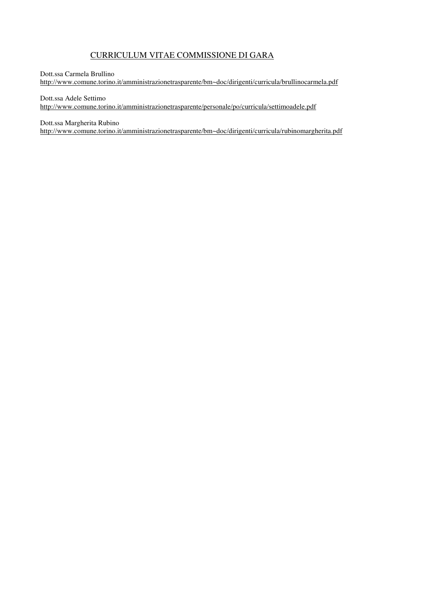### CURRICULUM VITAE COMMISSIONE DI GARA

#### Dott.ssa Carmela Brullino

http://www.comune.torino.it/amministrazionetrasparente/bm~doc/dirigenti/curricula/brullinocarmela.pdf

Dott.ssa Adele Settimo

http://www.comune.torino.it/amministrazionetrasparente/personale/po/curricula/settimoadele.pdf

Dott.ssa Margherita Rubino

http://www.comune.torino.it/amministrazionetrasparente/bm~doc/dirigenti/curricula/rubinomargherita.pdf